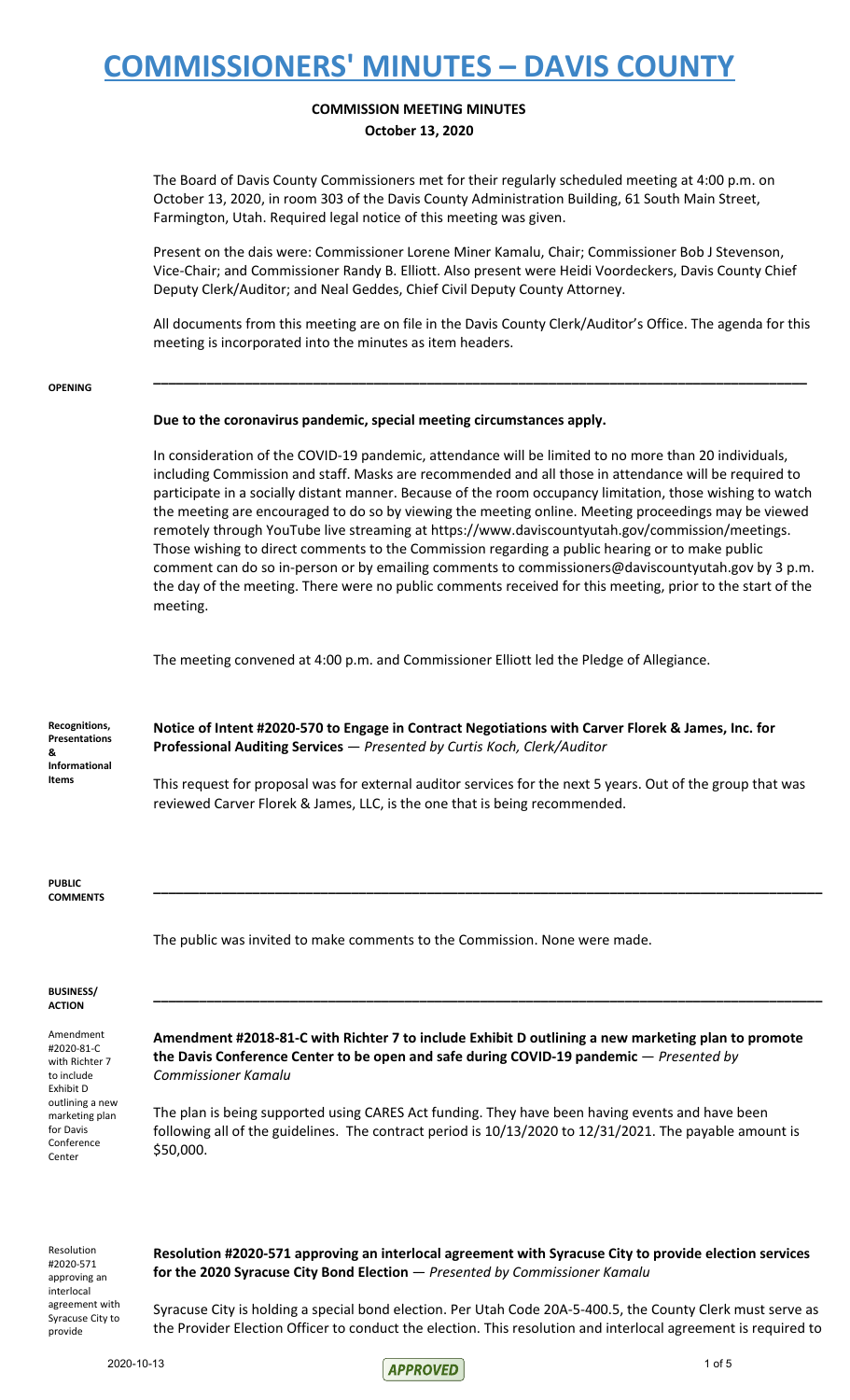### **COMMISSION MEETING MINUTES October 13, 2020**

The Board of Davis County Commissioners met for their regularly scheduled meeting at 4:00 p.m. on October 13, 2020, in room 303 of the Davis County Administration Building, 61 South Main Street, Farmington, Utah. Required legal notice of this meeting was given.

Present on the dais were: Commissioner Lorene Miner Kamalu, Chair; Commissioner Bob J Stevenson, Vice-Chair; and Commissioner Randy B. Elliott. Also present were Heidi Voordeckers, Davis County Chief Deputy Clerk/Auditor; and Neal Geddes, Chief Civil Deputy County Attorney.

All documents from this meeting are on file in the Davis County Clerk/Auditor's Office. The agenda for this meeting is incorporated into the minutes as item headers.

**\_\_\_\_\_\_\_\_\_\_\_\_\_\_\_\_\_\_\_\_\_\_\_\_\_\_\_\_\_\_\_\_\_\_\_\_\_\_\_\_\_\_\_\_\_\_\_\_\_\_\_\_\_\_\_\_\_\_\_\_\_\_\_\_\_\_\_\_\_\_\_\_\_\_\_\_\_\_\_\_\_\_\_\_\_\_**

#### **OPENING**

#### **Due to the coronavirus pandemic, special meeting circumstances apply.**

In consideration of the COVID-19 pandemic, attendance will be limited to no more than 20 individuals, including Commission and staff. Masks are recommended and all those in attendance will be required to participate in a socially distant manner. Because of the room occupancy limitation, those wishing to watch the meeting are encouraged to do so by viewing the meeting online. Meeting proceedings may be viewed remotely through YouTube live streaming at https://www.daviscountyutah.gov/commission/meetings. Those wishing to direct comments to the Commission regarding a public hearing or to make public comment can do so in-person or by emailing comments to commissioners@daviscountyutah.gov by 3 p.m. the day of the meeting. There were no public comments received for this meeting, prior to the start of the meeting.

The meeting convened at 4:00 p.m. and Commissioner Elliott led the Pledge of Allegiance.

**Notice of Intent #2020-570 to Engage in Contract Negotiations with Carver Florek & James, Inc. for Professional Auditing Services** — *Presented by Curtis Koch, Clerk/Auditor*

This request for proposal was for external auditor services for the next 5 years. Out of the group that was reviewed Carver Florek & James, LLC, is the one that is being recommended.

**\_\_\_\_\_\_\_\_\_\_\_\_\_\_\_\_\_\_\_\_\_\_\_\_\_\_\_\_\_\_\_\_\_\_\_\_\_\_\_\_\_\_\_\_\_\_\_\_\_\_\_\_\_\_\_\_\_\_\_\_\_\_\_\_\_\_\_\_\_\_\_\_\_\_\_\_\_\_\_\_\_\_\_\_\_\_\_\_**

**\_\_\_\_\_\_\_\_\_\_\_\_\_\_\_\_\_\_\_\_\_\_\_\_\_\_\_\_\_\_\_\_\_\_\_\_\_\_\_\_\_\_\_\_\_\_\_\_\_\_\_\_\_\_\_\_\_\_\_\_\_\_\_\_\_\_\_\_\_\_\_\_\_\_\_\_\_\_\_\_\_\_\_\_\_\_\_\_**

**PUBLIC COMMENTS**

The public was invited to make comments to the Commission. None were made.

#### **BUSINESS/ ACTION**

Amendment #2020-81-C with Richter 7 to include Exhibit D outlining a new marketing plan for Davis Conference Center

**Amendment #2018-81-C with Richter 7 to include Exhibit D outlining a new marketing plan to promote the Davis Conference Center to be open and safe during COVID-19 pandemic** — *Presented by Commissioner Kamalu*

The plan is being supported using CARES Act funding. They have been having events and have been following all of the guidelines. The contract period is 10/13/2020 to 12/31/2021. The payable amount is \$50,000.

Resolution #2020-571 approving an interlocal agreement with Syracuse City to provide

**Resolution #2020-571 approving an interlocal agreement with Syracuse City to provide election services for the 2020 Syracuse City Bond Election** — *Presented by Commissioner Kamalu*

Syracuse City is holding a special bond election. Per Utah Code 20A-5-400.5, the County Clerk must serve as the Provider Election Officer to conduct the election. This resolution and interlocal agreement is required to

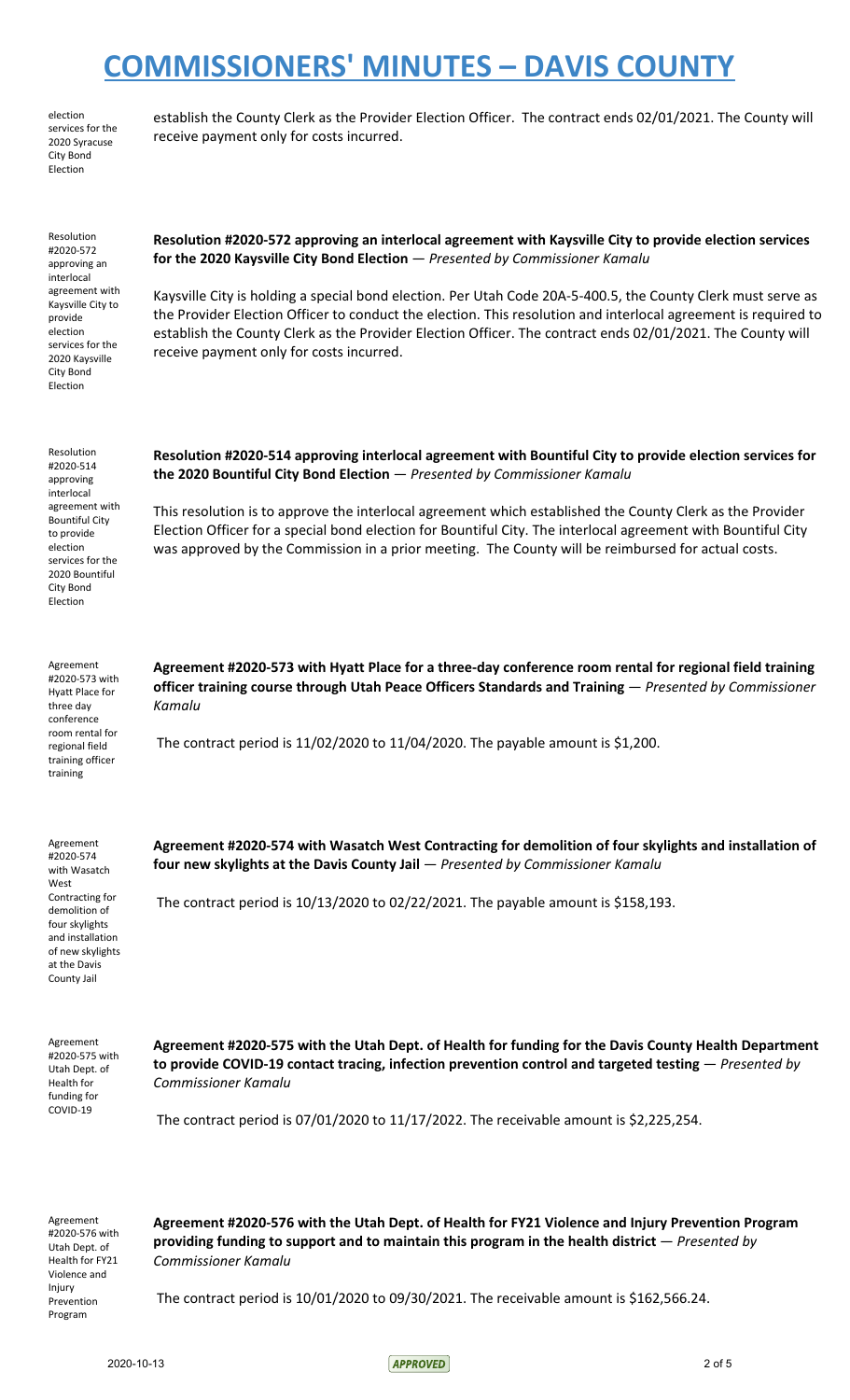election services for the 2020 Syracuse City Bond Election

establish the County Clerk as the Provider Election Officer. The contract ends 02/01/2021. The County will receive payment only for costs incurred.

Resolution #2020-572 approving an interlocal agreement with Kaysville City to provide election services for the 2020 Kaysville City Bond Election

**Resolution #2020-572 approving an interlocal agreement with Kaysville City to provide election services for the 2020 Kaysville City Bond Election** — *Presented by Commissioner Kamalu*

Kaysville City is holding a special bond election. Per Utah Code 20A-5-400.5, the County Clerk must serve as the Provider Election Officer to conduct the election. This resolution and interlocal agreement is required to establish the County Clerk as the Provider Election Officer. The contract ends 02/01/2021. The County will receive payment only for costs incurred.

Resolution #2020-514 approving interlocal agreement with Bountiful City to provide election services for the 2020 Bountiful City Bond Election

**Resolution #2020-514 approving interlocal agreement with Bountiful City to provide election services for the 2020 Bountiful City Bond Election** — *Presented by Commissioner Kamalu*

This resolution is to approve the interlocal agreement which established the County Clerk as the Provider Election Officer for a special bond election for Bountiful City. The interlocal agreement with Bountiful City was approved by the Commission in a prior meeting. The County will be reimbursed for actual costs.

Agreement #2020-573 with Hyatt Place for three day conference room rental for regional field training officer training

**Agreement #2020-573 with Hyatt Place for a three-day conference room rental for regional field training officer training course through Utah Peace Officers Standards and Training** — *Presented by Commissioner Kamalu*

The contract period is 11/02/2020 to 11/04/2020. The payable amount is \$1,200.

Agreement #2020-574 with Wasatch West Contracting for demolition of four skylights and installation of new skylights at the Davis County Jail

**Agreement #2020-574 with Wasatch West Contracting for demolition of four skylights and installation of four new skylights at the Davis County Jail** — *Presented by Commissioner Kamalu*

The contract period is 10/13/2020 to 02/22/2021. The payable amount is \$158,193.

Agreement #2020-575 with Utah Dept. of Health for funding for COVID-19

**Agreement #2020-575 with the Utah Dept. of Health for funding for the Davis County Health Department to provide COVID-19 contact tracing, infection prevention control and targeted testing** — *Presented by Commissioner Kamalu*

The contract period is 07/01/2020 to 11/17/2022. The receivable amount is \$2,225,254.

Agreement #2020-576 with Utah Dept. of Health for FY21 Violence and Injury Prevention Program

**Agreement #2020-576 with the Utah Dept. of Health for FY21 Violence and Injury Prevention Program providing funding to support and to maintain this program in the health district** — *Presented by Commissioner Kamalu*

The contract period is 10/01/2020 to 09/30/2021. The receivable amount is \$162,566.24.

2020-10-13 20f 5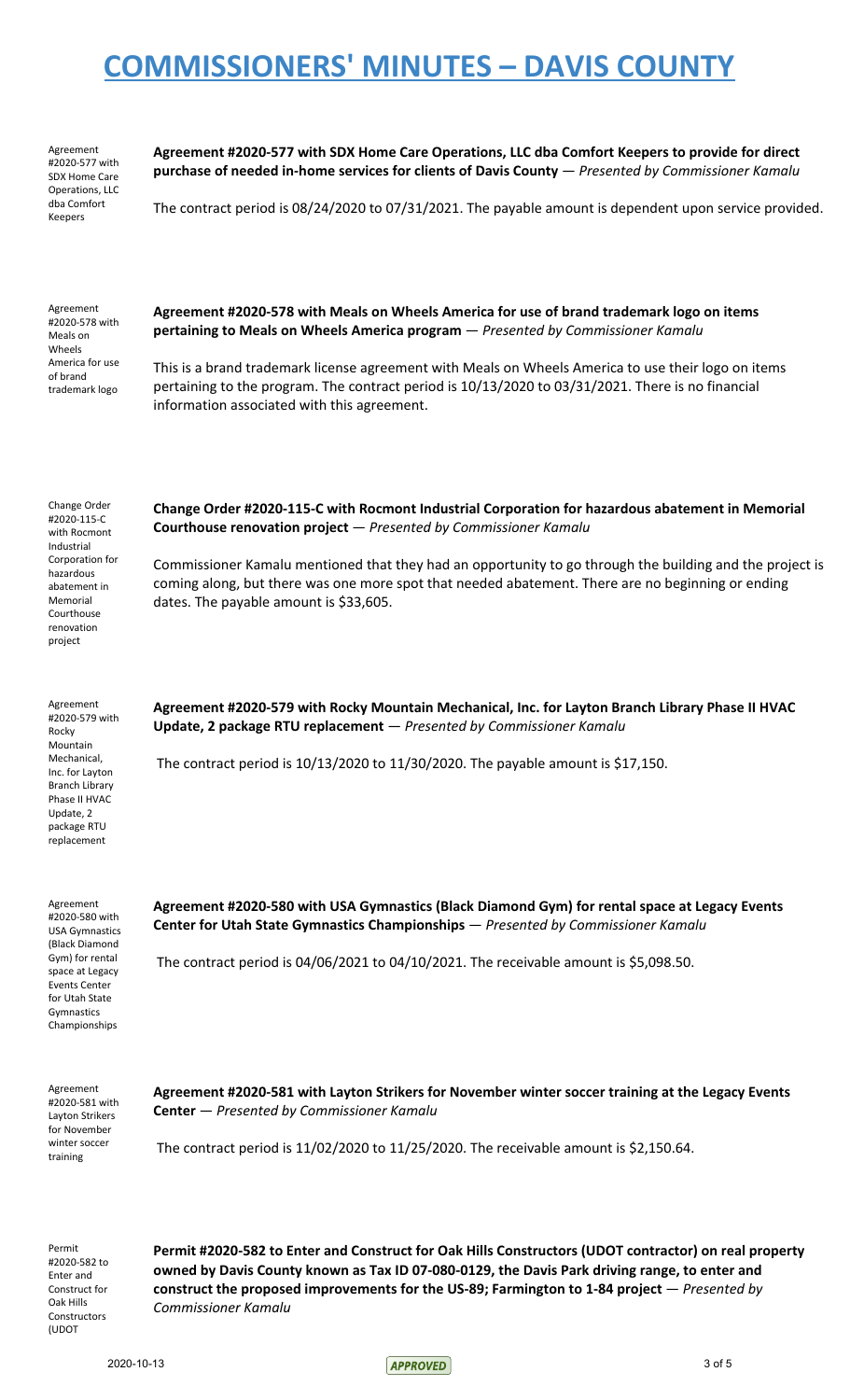| Agreement            |
|----------------------|
| #2020-577 with       |
| <b>SDX Home Care</b> |
| Operations, LLC      |
| dba Comfort          |
| Keepers              |

**Agreement #2020-577 with SDX Home Care Operations, LLC dba Comfort Keepers to provide for direct purchase of needed in-home services for clients of Davis County** — *Presented by Commissioner Kamalu*

The contract period is 08/24/2020 to 07/31/2021. The payable amount is dependent upon service provided.

| Agreement       |
|-----------------|
| #2020-578 with  |
| Meals on        |
| Wheels          |
| America for use |
| of brand        |
| trademark logo  |
|                 |

**Agreement #2020-578 with Meals on Wheels America for use of brand trademark logo on items pertaining to Meals on Wheels America program** — *Presented by Commissioner Kamalu*

This is a brand trademark license agreement with Meals on Wheels America to use their logo on items pertaining to the program. The contract period is 10/13/2020 to 03/31/2021. There is no financial information associated with this agreement.

Change Order #2020-115-C with Rocmont Industrial Corporation for hazardous abatement in Memorial Courthouse renovation project

**Change Order #2020-115-C with Rocmont Industrial Corporation for hazardous abatement in Memorial Courthouse renovation project** — *Presented by Commissioner Kamalu*

Commissioner Kamalu mentioned that they had an opportunity to go through the building and the project is coming along, but there was one more spot that needed abatement. There are no beginning or ending dates. The payable amount is \$33,605.

Agreement #2020-579 with Rocky Mountain Mechanical, Inc. for Layton Branch Library Phase II HVAC Update, 2 package RTU replacement

**Agreement #2020-579 with Rocky Mountain Mechanical, Inc. for Layton Branch Library Phase II HVAC Update, 2 package RTU replacement** — *Presented by Commissioner Kamalu*

The contract period is 10/13/2020 to 11/30/2020. The payable amount is \$17,150.

Agreement #2020-580 with USA Gymnastics (Black Diamond Gym) for rental space at Legacy Events Center for Utah State Gymnastics Championships

**Agreement #2020-580 with USA Gymnastics (Black Diamond Gym) for rental space at Legacy Events Center for Utah State Gymnastics Championships** — *Presented by Commissioner Kamalu*

The contract period is 04/06/2021 to 04/10/2021. The receivable amount is \$5,098.50.

Agreement #2020-581 with Layton Strikers for November winter soccer training

**Agreement #2020-581 with Layton Strikers for November winter soccer training at the Legacy Events Center** — *Presented by Commissioner Kamalu*

The contract period is 11/02/2020 to 11/25/2020. The receivable amount is \$2,150.64.

Permit #2020-582 to Enter and Construct for Oak Hills Constructors (UDOT

**Permit #2020-582 to Enter and Construct for Oak Hills Constructors (UDOT contractor) on real property owned by Davis County known as Tax ID 07-080-0129, the Davis Park driving range, to enter and construct the proposed improvements for the US-89; Farmington to 1-84 project** — *Presented by Commissioner Kamalu*

2020-10-13 3 of 5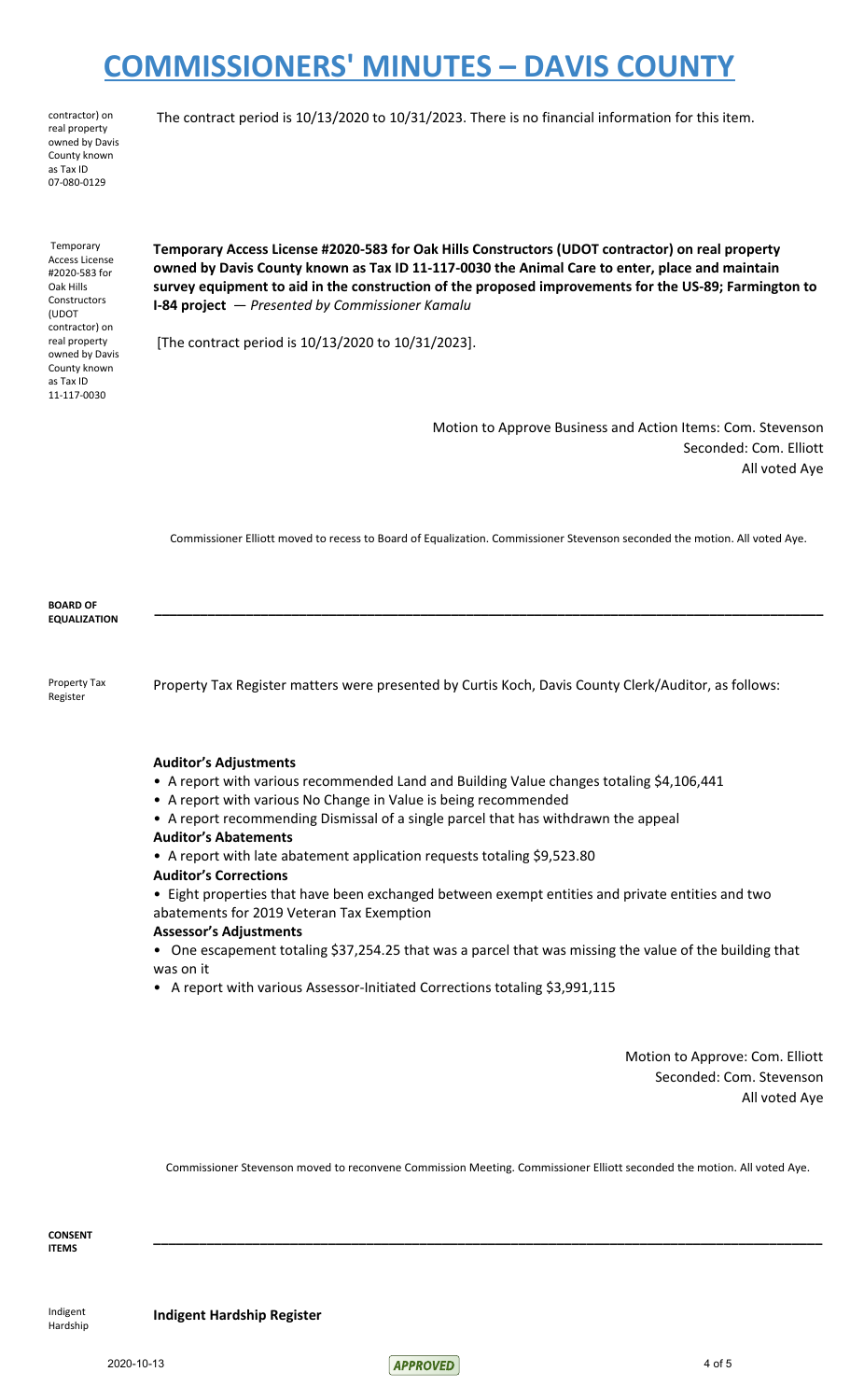contractor) on real property owned by Davis County known as Tax ID 07-080-0129

The contract period is 10/13/2020 to 10/31/2023. There is no financial information for this item.

Temporary Access License #2020-583 for Oak Hills **Constructors** (UDOT contractor) on real property owned by Davis County known as Tax ID 11-117-0030

**Temporary Access License #2020-583 for Oak Hills Constructors (UDOT contractor) on real property owned by Davis County known as Tax ID 11-117-0030 the Animal Care to enter, place and maintain survey equipment to aid in the construction of the proposed improvements for the US-89; Farmington to I-84 project** — *Presented by Commissioner Kamalu*

[The contract period is 10/13/2020 to 10/31/2023].

Motion to Approve Business and Action Items: Com. Stevenson Seconded: Com. Elliott All voted Aye

Commissioner Elliott moved to recess to Board of Equalization. Commissioner Stevenson seconded the motion. All voted Aye.

**\_\_\_\_\_\_\_\_\_\_\_\_\_\_\_\_\_\_\_\_\_\_\_\_\_\_\_\_\_\_\_\_\_\_\_\_\_\_\_\_\_\_\_\_\_\_\_\_\_\_\_\_\_\_\_\_\_\_\_\_\_\_\_\_\_\_\_\_\_\_\_\_\_\_\_\_\_\_\_\_\_\_\_\_\_\_\_\_**

**BOARD OF EQUALIZATION**

Property Tax Register

Property Tax Register matters were presented by Curtis Koch, Davis County Clerk/Auditor, as follows:

#### **Auditor's Adjustments**

- A report with various recommended Land and Building Value changes totaling \$4,106,441
- A report with various No Change in Value is being recommended
- A report recommending Dismissal of a single parcel that has withdrawn the appeal
- **Auditor's Abatements**
- A report with late abatement application requests totaling \$9,523.80
- **Auditor's Corrections**
- Eight properties that have been exchanged between exempt entities and private entities and two abatements for 2019 Veteran Tax Exemption

#### **Assessor's Adjustments**

• One escapement totaling \$37,254.25 that was a parcel that was missing the value of the building that was on it

• A report with various Assessor-Initiated Corrections totaling \$3,991,115

Motion to Approve: Com. Elliott Seconded: Com. Stevenson All voted Aye

Commissioner Stevenson moved to reconvene Commission Meeting. Commissioner Elliott seconded the motion. All voted Aye.

**\_\_\_\_\_\_\_\_\_\_\_\_\_\_\_\_\_\_\_\_\_\_\_\_\_\_\_\_\_\_\_\_\_\_\_\_\_\_\_\_\_\_\_\_\_\_\_\_\_\_\_\_\_\_\_\_\_\_\_\_\_\_\_\_\_\_\_\_\_\_\_\_\_\_\_\_\_\_\_\_\_\_\_\_\_\_\_\_**

**CONSENT ITEMS**

Indigent Hardship